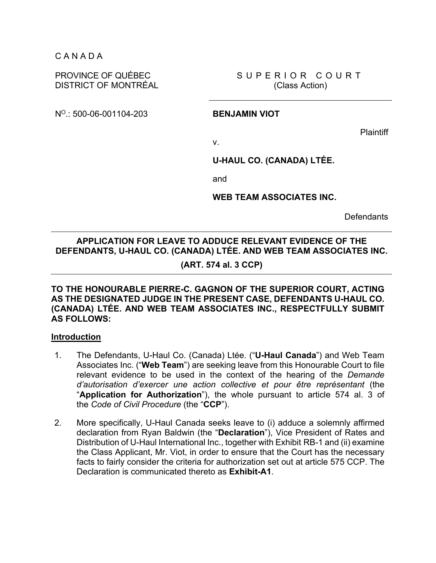C A N A D A

## PROVINCE OF QUÉBEC DISTRICT OF MONTRÉAL

SUPERIOR COURT (Class Action)

NO.: 500-06-001104-203 **BENJAMIN VIOT** 

**Plaintiff** 

v.

**U-HAUL CO. (CANADA) LTÉE.** 

and

**WEB TEAM ASSOCIATES INC.** 

**Defendants** 

# **APPLICATION FOR LEAVE TO ADDUCE RELEVANT EVIDENCE OF THE DEFENDANTS, U-HAUL CO. (CANADA) LTÉE. AND WEB TEAM ASSOCIATES INC.**

# **(ART. 574 al. 3 CCP)**

**TO THE HONOURABLE PIERRE-C. GAGNON OF THE SUPERIOR COURT, ACTING AS THE DESIGNATED JUDGE IN THE PRESENT CASE, DEFENDANTS U-HAUL CO. (CANADA) LTÉE. AND WEB TEAM ASSOCIATES INC., RESPECTFULLY SUBMIT AS FOLLOWS:** 

# **Introduction**

- 1. The Defendants, U-Haul Co. (Canada) Ltée. ("**U-Haul Canada**") and Web Team Associates Inc. ("**Web Team**") are seeking leave from this Honourable Court to file relevant evidence to be used in the context of the hearing of the *Demande d'autorisation d'exercer une action collective et pour être représentant* (the "**Application for Authorization**"), the whole pursuant to article 574 al. 3 of the *Code of Civil Procedure* (the "**CCP**").
- 2. More specifically, U-Haul Canada seeks leave to (i) adduce a solemnly affirmed declaration from Ryan Baldwin (the "**Declaration**"), Vice President of Rates and Distribution of U-Haul International Inc., together with Exhibit RB-1 and (ii) examine the Class Applicant, Mr. Viot, in order to ensure that the Court has the necessary facts to fairly consider the criteria for authorization set out at article 575 CCP. The Declaration is communicated thereto as **Exhibit-A1**.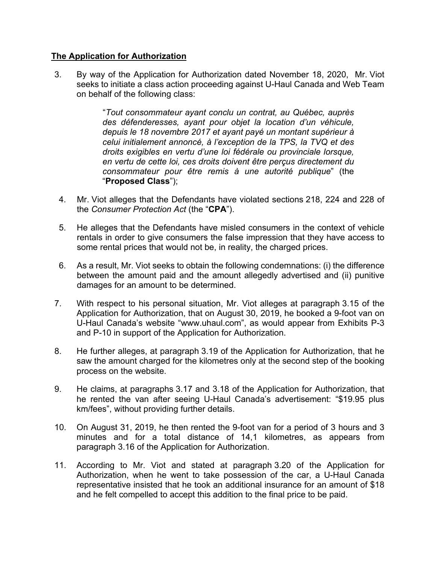# **The Application for Authorization**

3. By way of the Application for Authorization dated November 18, 2020, Mr. Viot seeks to initiate a class action proceeding against U-Haul Canada and Web Team on behalf of the following class:

> "*Tout consommateur ayant conclu un contrat, au Québec, auprès des défenderesses, ayant pour objet la location d'un véhicule, depuis le 18 novembre 2017 et ayant payé un montant supérieur à celui initialement annoncé, à l'exception de la TPS, la TVQ et des droits exigibles en vertu d'une loi fédérale ou provinciale lorsque, en vertu de cette loi, ces droits doivent être perçus directement du consommateur pour être remis à une autorité publique*" (the "**Proposed Class**");

- 4. Mr. Viot alleges that the Defendants have violated sections 218, 224 and 228 of the *Consumer Protection Act* (the "**CPA**").
- 5. He alleges that the Defendants have misled consumers in the context of vehicle rentals in order to give consumers the false impression that they have access to some rental prices that would not be, in reality, the charged prices.
- 6. As a result, Mr. Viot seeks to obtain the following condemnations: (i) the difference between the amount paid and the amount allegedly advertised and (ii) punitive damages for an amount to be determined.
- 7. With respect to his personal situation, Mr. Viot alleges at paragraph 3.15 of the Application for Authorization, that on August 30, 2019, he booked a 9-foot van on U-Haul Canada's website "www.uhaul.com", as would appear from Exhibits P-3 and P-10 in support of the Application for Authorization.
- 8. He further alleges, at paragraph 3.19 of the Application for Authorization, that he saw the amount charged for the kilometres only at the second step of the booking process on the website.
- 9. He claims, at paragraphs 3.17 and 3.18 of the Application for Authorization, that he rented the van after seeing U-Haul Canada's advertisement: "\$19.95 plus km/fees", without providing further details.
- 10. On August 31, 2019, he then rented the 9-foot van for a period of 3 hours and 3 minutes and for a total distance of 14,1 kilometres, as appears from paragraph 3.16 of the Application for Authorization.
- 11. According to Mr. Viot and stated at paragraph 3.20 of the Application for Authorization, when he went to take possession of the car, a U-Haul Canada representative insisted that he took an additional insurance for an amount of \$18 and he felt compelled to accept this addition to the final price to be paid.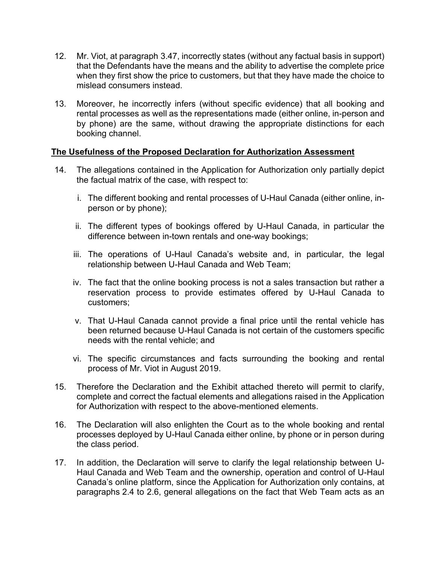- 12. Mr. Viot, at paragraph 3.47, incorrectly states (without any factual basis in support) that the Defendants have the means and the ability to advertise the complete price when they first show the price to customers, but that they have made the choice to mislead consumers instead.
- 13. Moreover, he incorrectly infers (without specific evidence) that all booking and rental processes as well as the representations made (either online, in-person and by phone) are the same, without drawing the appropriate distinctions for each booking channel.

# **The Usefulness of the Proposed Declaration for Authorization Assessment**

- 14. The allegations contained in the Application for Authorization only partially depict the factual matrix of the case, with respect to:
	- i. The different booking and rental processes of U-Haul Canada (either online, inperson or by phone);
	- ii. The different types of bookings offered by U-Haul Canada, in particular the difference between in-town rentals and one-way bookings;
	- iii. The operations of U-Haul Canada's website and, in particular, the legal relationship between U-Haul Canada and Web Team;
	- iv. The fact that the online booking process is not a sales transaction but rather a reservation process to provide estimates offered by U-Haul Canada to customers;
	- v. That U-Haul Canada cannot provide a final price until the rental vehicle has been returned because U-Haul Canada is not certain of the customers specific needs with the rental vehicle; and
	- vi. The specific circumstances and facts surrounding the booking and rental process of Mr. Viot in August 2019.
- 15. Therefore the Declaration and the Exhibit attached thereto will permit to clarify, complete and correct the factual elements and allegations raised in the Application for Authorization with respect to the above-mentioned elements.
- 16. The Declaration will also enlighten the Court as to the whole booking and rental processes deployed by U-Haul Canada either online, by phone or in person during the class period.
- 17. In addition, the Declaration will serve to clarify the legal relationship between U-Haul Canada and Web Team and the ownership, operation and control of U-Haul Canada's online platform, since the Application for Authorization only contains, at paragraphs 2.4 to 2.6, general allegations on the fact that Web Team acts as an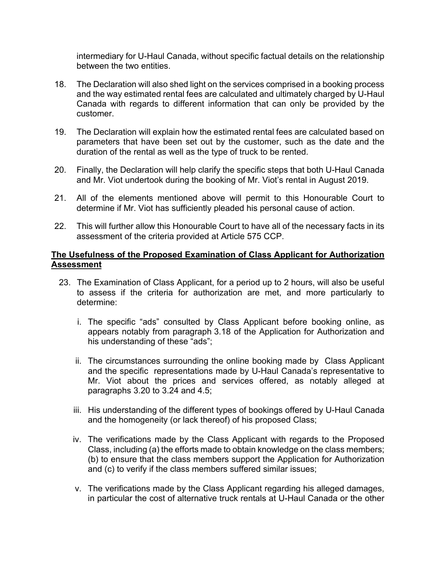intermediary for U-Haul Canada, without specific factual details on the relationship between the two entities.

- 18. The Declaration will also shed light on the services comprised in a booking process and the way estimated rental fees are calculated and ultimately charged by U-Haul Canada with regards to different information that can only be provided by the customer.
- 19. The Declaration will explain how the estimated rental fees are calculated based on parameters that have been set out by the customer, such as the date and the duration of the rental as well as the type of truck to be rented.
- 20. Finally, the Declaration will help clarify the specific steps that both U-Haul Canada and Mr. Viot undertook during the booking of Mr. Viot's rental in August 2019.
- 21. All of the elements mentioned above will permit to this Honourable Court to determine if Mr. Viot has sufficiently pleaded his personal cause of action.
- 22. This will further allow this Honourable Court to have all of the necessary facts in its assessment of the criteria provided at Article 575 CCP.

# **The Usefulness of the Proposed Examination of Class Applicant for Authorization Assessment**

- 23. The Examination of Class Applicant, for a period up to 2 hours, will also be useful to assess if the criteria for authorization are met, and more particularly to determine:
	- i. The specific "ads" consulted by Class Applicant before booking online, as appears notably from paragraph 3.18 of the Application for Authorization and his understanding of these "ads";
	- ii. The circumstances surrounding the online booking made by Class Applicant and the specific representations made by U-Haul Canada's representative to Mr. Viot about the prices and services offered, as notably alleged at paragraphs 3.20 to 3.24 and 4.5;
	- iii. His understanding of the different types of bookings offered by U-Haul Canada and the homogeneity (or lack thereof) of his proposed Class;
	- iv. The verifications made by the Class Applicant with regards to the Proposed Class, including (a) the efforts made to obtain knowledge on the class members; (b) to ensure that the class members support the Application for Authorization and (c) to verify if the class members suffered similar issues;
	- v. The verifications made by the Class Applicant regarding his alleged damages, in particular the cost of alternative truck rentals at U-Haul Canada or the other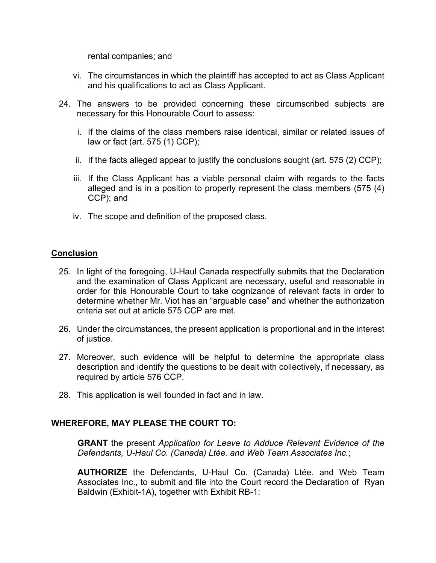rental companies; and

- vi. The circumstances in which the plaintiff has accepted to act as Class Applicant and his qualifications to act as Class Applicant.
- 24. The answers to be provided concerning these circumscribed subjects are necessary for this Honourable Court to assess:
	- i. If the claims of the class members raise identical, similar or related issues of law or fact (art. 575 (1) CCP);
	- ii. If the facts alleged appear to justify the conclusions sought (art. 575 (2) CCP);
	- iii. If the Class Applicant has a viable personal claim with regards to the facts alleged and is in a position to properly represent the class members (575 (4) CCP); and
	- iv. The scope and definition of the proposed class.

# **Conclusion**

- 25. In light of the foregoing, U-Haul Canada respectfully submits that the Declaration and the examination of Class Applicant are necessary, useful and reasonable in order for this Honourable Court to take cognizance of relevant facts in order to determine whether Mr. Viot has an "arguable case" and whether the authorization criteria set out at article 575 CCP are met.
- 26. Under the circumstances, the present application is proportional and in the interest of justice.
- 27. Moreover, such evidence will be helpful to determine the appropriate class description and identify the questions to be dealt with collectively, if necessary, as required by article 576 CCP.
- 28. This application is well founded in fact and in law.

# **WHEREFORE, MAY PLEASE THE COURT TO:**

**GRANT** the present *Application for Leave to Adduce Relevant Evidence of the Defendants, U-Haul Co. (Canada) Ltée. and Web Team Associates Inc.*;

**AUTHORIZE** the Defendants, U-Haul Co. (Canada) Ltée. and Web Team Associates Inc., to submit and file into the Court record the Declaration of Ryan Baldwin (Exhibit-1A), together with Exhibit RB-1: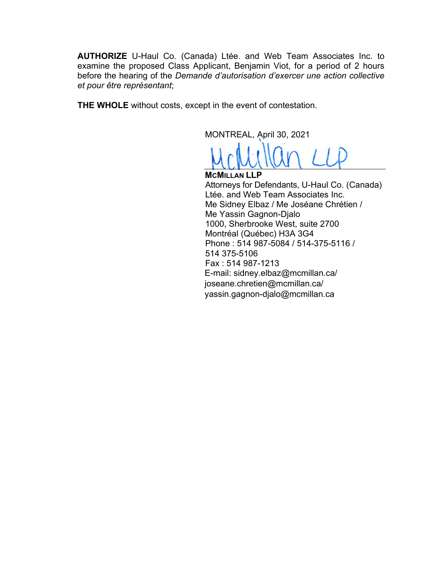**AUTHORIZE** U-Haul Co. (Canada) Ltée. and Web Team Associates Inc. to examine the proposed Class Applicant, Benjamin Viot, for a period of 2 hours before the hearing of the *Demande d'autorisation d'exercer une action collective et pour être représentant*;

**THE WHOLE** without costs, except in the event of contestation.

MONTREAL, April 30, 2021

**MCMILLAN LLP**  Attorneys for Defendants, U-Haul Co. (Canada) Ltée. and Web Team Associates Inc. Me Sidney Elbaz / Me Joséane Chrétien / Me Yassin Gagnon-Djalo 1000, Sherbrooke West, suite 2700 Montréal (Québec) H3A 3G4 Phone : 514 987-5084 / 514-375-5116 / 514 375-5106 Fax : 514 987-1213 E-mail: sidney.elbaz@mcmillan.ca/ joseane.chretien@mcmillan.ca/ yassin.gagnon-djalo@mcmillan.ca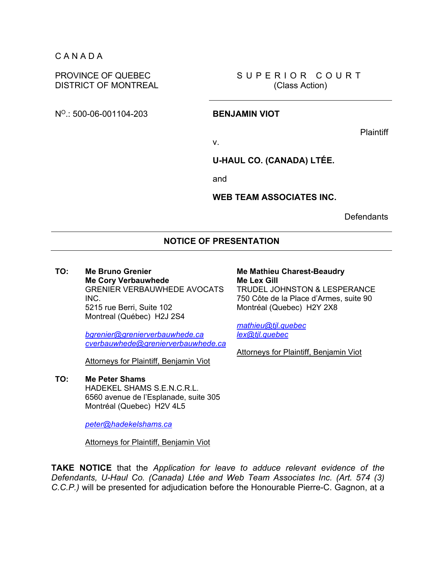### C A N A D A

### PROVINCE OF QUEBEC DISTRICT OF MONTREAL

SUPERIOR COURT (Class Action)

NO.: 500-06-001104-203 **BENJAMIN VIOT** 

**Plaintiff** 

v.

**U-HAUL CO. (CANADA) LTÉE.** 

and

**WEB TEAM ASSOCIATES INC.** 

**Defendants** 

### **NOTICE OF PRESENTATION**

### **TO: Me Bruno Grenier Me Cory Verbauwhede**  GRENIER VERBAUWHEDE AVOCATS INC. 5215 rue Berri, Suite 102 Montreal (Québec) H2J 2S4

*bgrenier@grenierverbauwhede.ca cverbauwhede@grenierverbauwhede.ca*

Attorneys for Plaintiff, Benjamin Viot

### **TO: Me Peter Shams**

HADEKEL SHAMS S.E.N.C.R.L. 6560 avenue de l'Esplanade, suite 305 Montréal (Quebec) H2V 4L5

*peter@hadekelshams.ca* 

Attorneys for Plaintiff, Benjamin Viot

### **Me Mathieu Charest-Beaudry Me Lex Gill** TRUDEL JOHNSTON & LESPERANCE 750 Côte de la Place d'Armes, suite 90

Montréal (Quebec) H2Y 2X8

*mathieu@tjl.quebec lex@tjl.quebec* 

Attorneys for Plaintiff, Benjamin Viot

**TAKE NOTICE** that the *Application for leave to adduce relevant evidence of the Defendants, U-Haul Co. (Canada) Ltée and Web Team Associates Inc. (Art. 574 (3) C.C.P.)* will be presented for adjudication before the Honourable Pierre-C. Gagnon, at a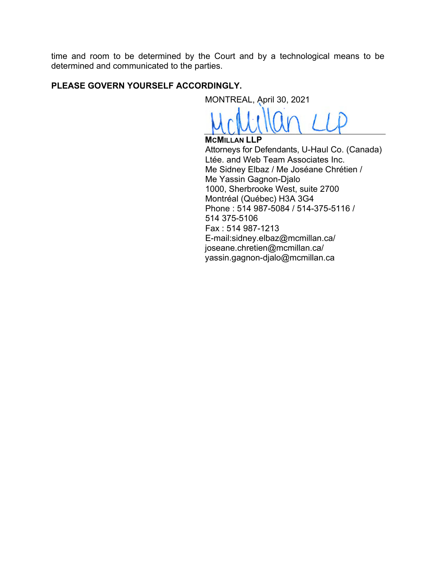time and room to be determined by the Court and by a technological means to be determined and communicated to the parties.

# **PLEASE GOVERN YOURSELF ACCORDINGLY.**

MONTREAL, April 30, 2021

**MCMILLAN LLP**  Attorneys for Defendants, U-Haul Co. (Canada) Ltée. and Web Team Associates Inc. Me Sidney Elbaz / Me Joséane Chrétien / Me Yassin Gagnon-Djalo 1000, Sherbrooke West, suite 2700 Montréal (Québec) H3A 3G4 Phone : 514 987-5084 / 514-375-5116 / 514 375-5106 Fax : 514 987-1213 E-mail:sidney.elbaz@mcmillan.ca/ joseane.chretien@mcmillan.ca/ yassin.gagnon-djalo@mcmillan.ca